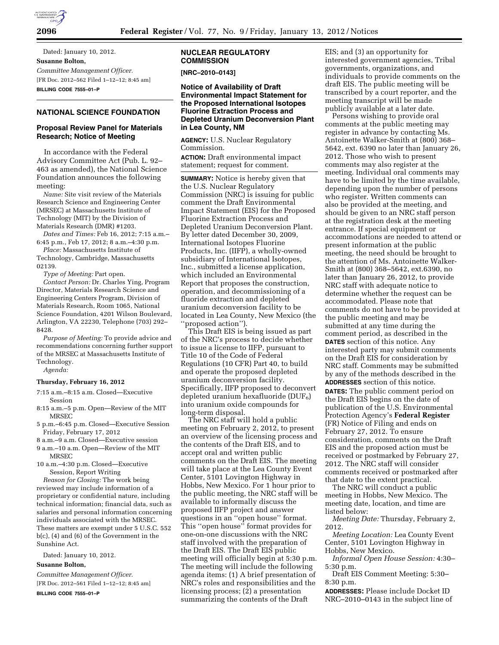

Dated: January 10, 2012. **Susanne Bolton,**  *Committee Management Officer.*  [FR Doc. 2012–562 Filed 1–12–12; 8:45 am] **BILLING CODE 7555–01–P** 

# **NATIONAL SCIENCE FOUNDATION**

### **Proposal Review Panel for Materials Research; Notice of Meeting**

In accordance with the Federal Advisory Committee Act (Pub. L. 92– 463 as amended), the National Science Foundation announces the following meeting:

*Name:* Site visit review of the Materials Research Science and Engineering Center (MRSEC) at Massachusetts Institute of Technology (MIT) by the Division of Materials Research (DMR) #1203.

*Dates and Times:* Feb 16, 2012; 7:15 a.m.– 6:45 p.m., Feb 17, 2012; 8 a.m.–4:30 p.m.

*Place:* Massachusetts Institute of Technology, Cambridge, Massachusetts 02139.

*Type of Meeting:* Part open.

*Contact Person:* Dr. Charles Ying, Program Director, Materials Research Science and Engineering Centers Program, Division of Materials Research, Room 1065, National Science Foundation, 4201 Wilson Boulevard, Arlington, VA 22230, Telephone (703) 292– 8428.

*Purpose of Meeting:* To provide advice and recommendations concerning further support of the MRSEC at Massachusetts Institute of Technology.

*Agenda:* 

#### **Thursday, February 16, 2012**

- 7:15 a.m.–8:15 a.m. Closed—Executive Session
- 8:15 a.m.–5 p.m. Open—Review of the MIT MRSEC
- 5 p.m.–6:45 p.m. Closed—Executive Session Friday, February 17, 2012
- 8 a.m.–9 a.m. Closed—Executive session 9 a.m.–10 a.m. Open—Review of the MIT MRSEC
- 10 a.m.–4:30 p.m. Closed—Executive Session, Report Writing

*Reason for Closing:* The work being reviewed may include information of a proprietary or confidential nature, including technical information; financial data, such as salaries and personal information concerning individuals associated with the MRSEC. These matters are exempt under 5 U.S.C. 552 b(c), (4) and (6) of the Government in the Sunshine Act.

Dated: January 10, 2012.

## **Susanne Bolton,**

*Committee Management Officer.*  [FR Doc. 2012–561 Filed 1–12–12; 8:45 am] **BILLING CODE 7555–01–P** 

### **NUCLEAR REGULATORY COMMISSION**

**[NRC–2010–0143]** 

**Notice of Availability of Draft Environmental Impact Statement for the Proposed International Isotopes Fluorine Extraction Process and Depleted Uranium Deconversion Plant in Lea County, NM** 

**AGENCY:** U.S. Nuclear Regulatory Commission.

**ACTION:** Draft environmental impact statement; request for comment.

**SUMMARY:** Notice is hereby given that the U.S. Nuclear Regulatory Commission (NRC) is issuing for public comment the Draft Environmental Impact Statement (EIS) for the Proposed Fluorine Extraction Process and Depleted Uranium Deconversion Plant. By letter dated December 30, 2009, International Isotopes Fluorine Products, Inc. (IIFP), a wholly-owned subsidiary of International Isotopes, Inc., submitted a license application, which included an Environmental Report that proposes the construction, operation, and decommissioning of a fluoride extraction and depleted uranium deconversion facility to be located in Lea County, New Mexico (the 'proposed action'').

This Draft EIS is being issued as part of the NRC's process to decide whether to issue a license to IIFP, pursuant to Title 10 of the Code of Federal Regulations (10 CFR) Part 40, to build and operate the proposed depleted uranium deconversion facility. Specifically, IIFP proposed to deconvert depleted uranium hexafluoride  $(DUF_6)$ into uranium oxide compounds for long-term disposal.

The NRC staff will hold a public meeting on February 2, 2012, to present an overview of the licensing process and the contents of the Draft EIS, and to accept oral and written public comments on the Draft EIS. The meeting will take place at the Lea County Event Center, 5101 Lovington Highway in Hobbs, New Mexico. For 1 hour prior to the public meeting, the NRC staff will be available to informally discuss the proposed IIFP project and answer questions in an ''open house'' format. This ''open house'' format provides for one-on-one discussions with the NRC staff involved with the preparation of the Draft EIS. The Draft EIS public meeting will officially begin at 5:30 p.m. The meeting will include the following agenda items: (1) A brief presentation of NRC's roles and responsibilities and the licensing process; (2) a presentation summarizing the contents of the Draft

EIS; and (3) an opportunity for interested government agencies, Tribal governments, organizations, and individuals to provide comments on the draft EIS. The public meeting will be transcribed by a court reporter, and the meeting transcript will be made publicly available at a later date.

Persons wishing to provide oral comments at the public meeting may register in advance by contacting Ms. Antoinette Walker-Smith at (800) 368– 5642, ext. 6390 no later than January 26, 2012. Those who wish to present comments may also register at the meeting. Individual oral comments may have to be limited by the time available, depending upon the number of persons who register. Written comments can also be provided at the meeting, and should be given to an NRC staff person at the registration desk at the meeting entrance. If special equipment or accommodations are needed to attend or present information at the public meeting, the need should be brought to the attention of Ms. Antoinette Walker-Smith at (800) 368–5642, ext.6390, no later than January 26, 2012, to provide NRC staff with adequate notice to determine whether the request can be accommodated. Please note that comments do not have to be provided at the public meeting and may be submitted at any time during the comment period, as described in the **DATES** section of this notice. Any interested party may submit comments on the Draft EIS for consideration by NRC staff. Comments may be submitted by any of the methods described in the **ADDRESSES** section of this notice.

**DATES:** The public comment period on the Draft EIS begins on the date of publication of the U.S. Environmental Protection Agency's **Federal Register**  (FR) Notice of Filing and ends on February 27, 2012. To ensure consideration, comments on the Draft EIS and the proposed action must be received or postmarked by February 27, 2012. The NRC staff will consider comments received or postmarked after that date to the extent practical.

The NRC will conduct a public meeting in Hobbs, New Mexico. The meeting date, location, and time are listed below:

*Meeting Date:* Thursday, February 2, 2012.

*Meeting Location:* Lea County Event Center, 5101 Lovington Highway in Hobbs, New Mexico.

*Informal Open House Session:* 4:30– 5:30 p.m.

Draft EIS Comment Meeting: 5:30– 8:30 p.m.

**ADDRESSES:** Please include Docket ID NRC–2010–0143 in the subject line of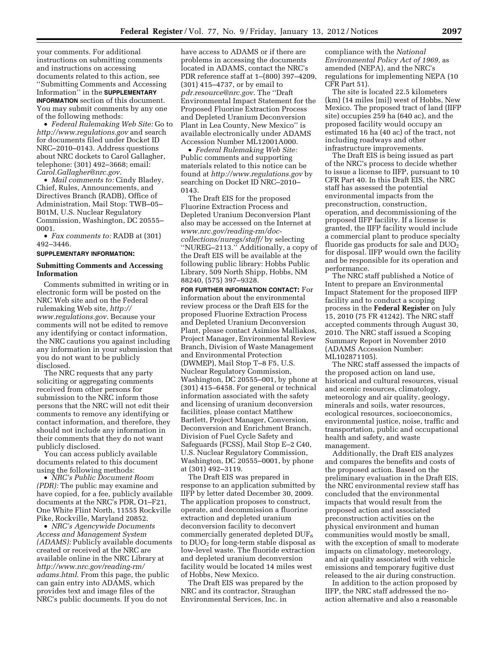your comments. For additional instructions on submitting comments and instructions on accessing documents related to this action, see ''Submitting Comments and Accessing Information'' in the **SUPPLEMENTARY INFORMATION** section of this document. You may submit comments by any one of the following methods:

• *Federal Rulemaking Web Site:* Go to *<http://www.regulations.gov>* and search for documents filed under Docket ID NRC–2010–0143. Address questions about NRC dockets to Carol Gallagher, telephone: (301) 492–3668; email: *[Carol.Gallagher@nrc.gov](mailto:Carol.Gallagher@nrc.gov)*.

• *Mail comments to:* Cindy Bladey, Chief, Rules, Announcements, and Directives Branch (RADB), Office of Administration, Mail Stop: TWB–05– B01M, U.S. Nuclear Regulatory Commission, Washington, DC 20555– 0001.

• *Fax comments to:* RADB at (301) 492–3446.

#### **SUPPLEMENTARY INFORMATION:**

#### **Submitting Comments and Accessing Information**

Comments submitted in writing or in electronic form will be posted on the NRC Web site and on the Federal rulemaking Web site, *[http://](http://www.regulations.gov) [www.regulations.gov](http://www.regulations.gov)*. Because your comments will not be edited to remove any identifying or contact information, the NRC cautions you against including any information in your submission that you do not want to be publicly disclosed.

The NRC requests that any party soliciting or aggregating comments received from other persons for submission to the NRC inform those persons that the NRC will not edit their comments to remove any identifying or contact information, and therefore, they should not include any information in their comments that they do not want publicly disclosed.

You can access publicly available documents related to this document using the following methods:

• *NRC's Public Document Room (PDR):* The public may examine and have copied, for a fee, publicly available documents at the NRC's PDR, O1–F21, One White Flint North, 11555 Rockville Pike, Rockville, Maryland 20852.

• *NRC's Agencywide Documents Access and Management System (ADAMS):* Publicly available documents created or received at the NRC are available online in the NRC Library at *[http://www.nrc.gov/reading-rm/](http://www.nrc.gov/reading-rm/adams.html)  [adams.html](http://www.nrc.gov/reading-rm/adams.html)*. From this page, the public can gain entry into ADAMS, which provides text and image files of the NRC's public documents. If you do not

have access to ADAMS or if there are problems in accessing the documents located in ADAMS, contact the NRC's PDR reference staff at 1–(800) 397–4209, (301) 415–4737, or by email to *[pdr.resource@nrc.gov](mailto:pdr.resource@nrc.gov)*. The ''Draft Environmental Impact Statement for the Proposed Fluorine Extraction Process and Depleted Uranium Deconversion Plant in Lea County, New Mexico'' is available electronically under ADAMS Accession Number ML12001A000.

• *Federal Rulemaking Web Site:*  Public comments and supporting materials related to this notice can be found at *<http://www.regulations.gov>* by searching on Docket ID NRC–2010– 0143.

The Draft EIS for the proposed Fluorine Extraction Process and Depleted Uranium Deconversion Plant also may be accessed on the Internet at *[www.nrc.gov/reading-rm/doc](http://www.nrc.gov/reading-rm/doc-collections/nuregs/staff/)[collections/nuregs/staff/](http://www.nrc.gov/reading-rm/doc-collections/nuregs/staff/)* by selecting ''NUREG–2113.'' Additionally, a copy of the Draft EIS will be available at the following public library: Hobbs Public Library, 509 North Shipp, Hobbs, NM 88240, (575) 397–9328.

**FOR FURTHER INFORMATION CONTACT:** For information about the environmental review process or the Draft EIS for the proposed Fluorine Extraction Process and Depleted Uranium Deconversion Plant, please contact Asimios Malliakos, Project Manager, Environmental Review Branch, Division of Waste Management and Environmental Protection (DWMEP), Mail Stop T–8 F5, U.S. Nuclear Regulatory Commission, Washington, DC 20555–001, by phone at (301) 415–6458. For general or technical information associated with the safety and licensing of uranium deconversion facilities, please contact Matthew Bartlett, Project Manager, Conversion, Deconversion and Enrichment Branch, Division of Fuel Cycle Safety and Safeguards (FCSS), Mail Stop E–2 C40, U.S. Nuclear Regulatory Commission, Washington, DC 20555–0001, by phone at (301) 492–3119.

The Draft EIS was prepared in response to an application submitted by IIFP by letter dated December 30, 2009. The application proposes to construct, operate, and decommission a fluorine extraction and depleted uranium deconversion facility to deconvert commercially generated depleted  $DUF_6$ to  $DUO<sub>2</sub>$  for long-term stable disposal as low-level waste. The fluoride extraction and depleted uranium deconversion facility would be located 14 miles west of Hobbs, New Mexico.

The Draft EIS was prepared by the NRC and its contractor, Straughan Environmental Services, Inc. in

compliance with the *National Environmental Policy Act of 1969,* as amended (NEPA), and the NRC's regulations for implementing NEPA (10 CFR Part 51).

The site is located 22.5 kilometers (km) (14 miles [mi]) west of Hobbs, New Mexico. The proposed tract of land (IIFP site) occupies 259 ha (640 ac), and the proposed facility would occupy an estimated 16 ha (40 ac) of the tract, not including roadways and other infrastructure improvements.

The Draft EIS is being issued as part of the NRC's process to decide whether to issue a license to IIFP, pursuant to 10 CFR Part 40. In this Draft EIS, the NRC staff has assessed the potential environmental impacts from the preconstruction, construction, operation, and decommissioning of the proposed IIFP facility. If a license is granted, the IIFP facility would include a commercial plant to produce specialty fluoride gas products for sale and  $DUO<sub>2</sub>$ for disposal. IIFP would own the facility and be responsible for its operation and performance.

The NRC staff published a Notice of Intent to prepare an Environmental Impact Statement for the proposed IIFP facility and to conduct a scoping process in the **Federal Register** on July 15, 2010 (75 FR 41242). The NRC staff accepted comments through August 30, 2010. The NRC staff issued a Scoping Summary Report in November 2010 (ADAMS Accession Number: ML102871105).

The NRC staff assessed the impacts of the proposed action on land use, historical and cultural resources, visual and scenic resources, climatology, meteorology and air quality, geology, minerals and soils, water resources, ecological resources, socioeconomics, environmental justice, noise, traffic and transportation, public and occupational health and safety, and waste management.

Additionally, the Draft EIS analyzes and compares the benefits and costs of the proposed action. Based on the preliminary evaluation in the Draft EIS, the NRC environmental review staff has concluded that the environmental impacts that would result from the proposed action and associated preconstruction activities on the physical environment and human communities would mostly be small, with the exception of small to moderate impacts on climatology, meteorology, and air quality associated with vehicle emissions and temporary fugitive dust released to the air during construction.

In addition to the action proposed by IIFP, the NRC staff addressed the noaction alternative and also a reasonable